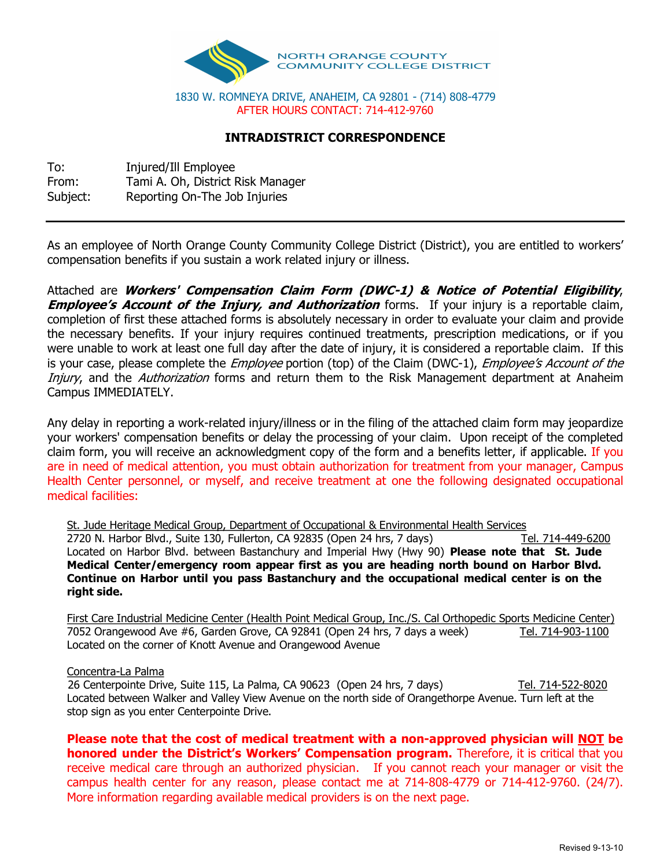

## **INTRADISTRICT CORRESPONDENCE**

To: Injured/Ill Employee From: Tami A. Oh, District Risk Manager Subject: Reporting On-The Job Injuries

As an employee of North Orange County Community College District (District), you are entitled to workers' compensation benefits if you sustain a work related injury or illness.

Attached are **Workers' Compensation Claim Form (DWC1) & Notice of Potential Eligibility**, **Employee's Account of the Injury, and Authorization** forms. If your injury is a reportable claim, completion of first these attached forms is absolutely necessary in order to evaluate your claim and provide the necessary benefits. If your injury requires continued treatments, prescription medications, or if you were unable to work at least one full day after the date of injury, it is considered a reportable claim. If this is your case, please complete the *Employee* portion (top) of the Claim (DWC-1), *Employee's Account of the* Injury, and the Authorization forms and return them to the Risk Management department at Anaheim Campus IMMEDIATELY.

Any delay in reporting a work-related injury/illness or in the filing of the attached claim form may jeopardize your workers' compensation benefits or delay the processing of your claim. Upon receipt of the completed claim form, you will receive an acknowledgment copy of the form and a benefits letter, if applicable. If you are in need of medical attention, you must obtain authorization for treatment from your manager, Campus Health Center personnel, or myself, and receive treatment at one the following designated occupational medical facilities:

St. Jude Heritage Medical Group, Department of Occupational & Environmental Health Services

2720 N. Harbor Blvd., Suite 130, Fullerton, CA 92835 (Open 24 hrs, 7 days) Tel. 714-449-6200 Located on Harbor Blvd. between Bastanchury and Imperial Hwy (Hwy 90) **Please note that St. Jude Medical Center/emergency room appear first as you are heading north bound on Harbor Blvd. Continue on Harbor until you pass Bastanchury and the occupational medical center is on the right side.** 

First Care Industrial Medicine Center (Health Point Medical Group, Inc./S. Cal Orthopedic Sports Medicine Center) 7052 Orangewood Ave #6, Garden Grove, CA 92841 (Open 24 hrs, 7 days a week) Tel. 714-903-1100 Located on the corner of Knott Avenue and Orangewood Avenue

## Concentra-La Palma

26 Centerpointe Drive, Suite 115, La Palma, CA 90623 (Open 24 hrs, 7 days) Tel. 714-522-8020 Located between Walker and Valley View Avenue on the north side of Orangethorpe Avenue. Turn left at the stop sign as you enter Centerpointe Drive.

**Please note that the cost of medical treatment with a nonapproved physician will NOT be honored under the District's Workers' Compensation program.** Therefore, it is critical that you receive medical care through an authorized physician. If you cannot reach your manager or visit the campus health center for any reason, please contact me at 714-808-4779 or 714-412-9760. (24/7). More information regarding available medical providers is on the next page.